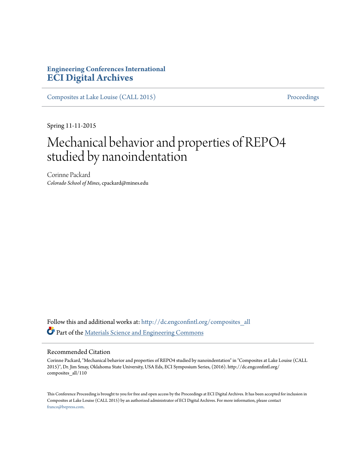## **Engineering Conferences International [ECI Digital Archives](http://dc.engconfintl.org?utm_source=dc.engconfintl.org%2Fcomposites_all%2F110&utm_medium=PDF&utm_campaign=PDFCoverPages)**

[Composites at Lake Louise \(CALL 2015\)](http://dc.engconfintl.org/composites_all?utm_source=dc.engconfintl.org%2Fcomposites_all%2F110&utm_medium=PDF&utm_campaign=PDFCoverPages) [Proceedings](http://dc.engconfintl.org/proceedings?utm_source=dc.engconfintl.org%2Fcomposites_all%2F110&utm_medium=PDF&utm_campaign=PDFCoverPages)

Spring 11-11-2015

## Mechanical behavior and properties of REPO4 studied by nanoindentation

Corinne Packard *Colorado School of Mines*, cpackard@mines.edu

Follow this and additional works at: [http://dc.engconfintl.org/composites\\_all](http://dc.engconfintl.org/composites_all?utm_source=dc.engconfintl.org%2Fcomposites_all%2F110&utm_medium=PDF&utm_campaign=PDFCoverPages) Part of the [Materials Science and Engineering Commons](http://network.bepress.com/hgg/discipline/285?utm_source=dc.engconfintl.org%2Fcomposites_all%2F110&utm_medium=PDF&utm_campaign=PDFCoverPages)

## Recommended Citation

Corinne Packard, "Mechanical behavior and properties of REPO4 studied by nanoindentation" in "Composites at Lake Louise (CALL 2015)", Dr. Jim Smay, Oklahoma State University, USA Eds, ECI Symposium Series, (2016). http://dc.engconfintl.org/ composites\_all/110

This Conference Proceeding is brought to you for free and open access by the Proceedings at ECI Digital Archives. It has been accepted for inclusion in Composites at Lake Louise (CALL 2015) by an authorized administrator of ECI Digital Archives. For more information, please contact [franco@bepress.com.](mailto:franco@bepress.com)